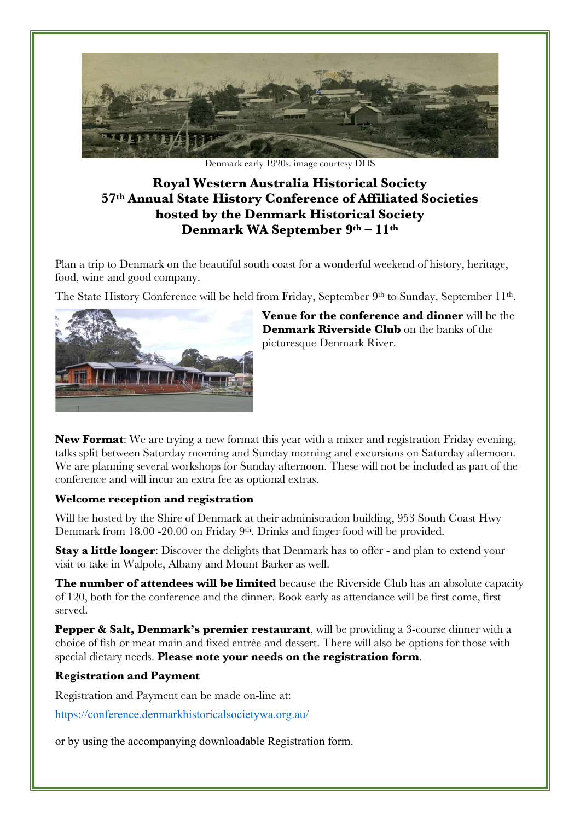

Denmark early 1920s. image courtesy DHS

# **Royal Western Australia Historical Society 57th Annual State History Conference of Affiliated Societies hosted by the Denmark Historical Society Denmark WA September 9th – 11th**

Plan a trip to Denmark on the beautiful south coast for a wonderful weekend of history, heritage, food, wine and good company.

The State History Conference will be held from Friday, September 9th to Sunday, September 11th.



**Venue for the conference and dinner** will be the **Denmark Riverside Club** on the banks of the picturesque Denmark River.

**New Format**: We are trying a new format this year with a mixer and registration Friday evening, talks split between Saturday morning and Sunday morning and excursions on Saturday afternoon. We are planning several workshops for Sunday afternoon. These will not be included as part of the conference and will incur an extra fee as optional extras.

## **Welcome reception and registration**

Will be hosted by the Shire of Denmark at their administration building, 953 South Coast Hwy Denmark from 18.00 -20.00 on Friday 9th. Drinks and finger food will be provided.

**Stay a little longer:** Discover the delights that Denmark has to offer - and plan to extend your visit to take in Walpole, Albany and Mount Barker as well.

**The number of attendees will be limited** because the Riverside Club has an absolute capacity of 120, both for the conference and the dinner. Book early as attendance will be first come, first served.

**Pepper & Salt, Denmark's premier restaurant**, will be providing a 3-course dinner with a choice of fish or meat main and fixed entrée and dessert. There will also be options for those with special dietary needs. **Please note your needs on the registration form**.

## **Registration and Payment**

Registration and Payment can be made on-line at:

https://conference.denmarkhistoricalsocietywa.org.au/

or by using the accompanying downloadable Registration form.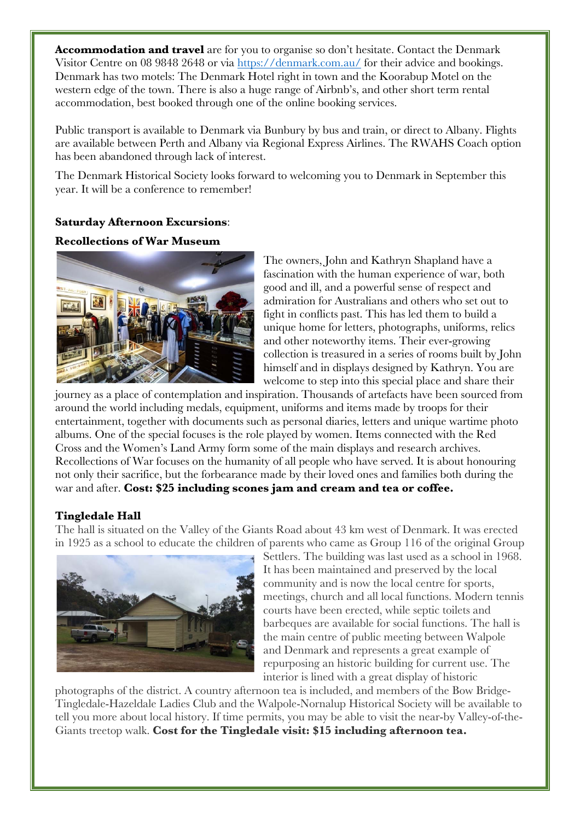**Accommodation and travel** are for you to organise so don't hesitate. Contact the Denmark Visitor Centre on 08 9848 2648 or via https://denmark.com.au/ for their advice and bookings. Denmark has two motels: The Denmark Hotel right in town and the Koorabup Motel on the western edge of the town. There is also a huge range of Airbnb's, and other short term rental accommodation, best booked through one of the online booking services.

Public transport is available to Denmark via Bunbury by bus and train, or direct to Albany. Flights are available between Perth and Albany via Regional Express Airlines. The RWAHS Coach option has been abandoned through lack of interest.

The Denmark Historical Society looks forward to welcoming you to Denmark in September this year. It will be a conference to remember!

## **Saturday Afternoon Excursions**:

#### **Recollections of War Museum**



The owners, John and Kathryn Shapland have a fascination with the human experience of war, both good and ill, and a powerful sense of respect and admiration for Australians and others who set out to fight in conflicts past. This has led them to build a unique home for letters, photographs, uniforms, relics and other noteworthy items. Their ever-growing collection is treasured in a series of rooms built by John himself and in displays designed by Kathryn. You are welcome to step into this special place and share their

journey as a place of contemplation and inspiration. Thousands of artefacts have been sourced from around the world including medals, equipment, uniforms and items made by troops for their entertainment, together with documents such as personal diaries, letters and unique wartime photo albums. One of the special focuses is the role played by women. Items connected with the Red Cross and the Women's Land Army form some of the main displays and research archives. Recollections of War focuses on the humanity of all people who have served. It is about honouring not only their sacrifice, but the forbearance made by their loved ones and families both during the war and after. **Cost: \$25 including scones jam and cream and tea or coffee.**

#### **Tingledale Hall**

The hall is situated on the Valley of the Giants Road about 43 km west of Denmark. It was erected in 1925 as a school to educate the children of parents who came as Group 116 of the original Group



Settlers. The building was last used as a school in 1968. It has been maintained and preserved by the local community and is now the local centre for sports, meetings, church and all local functions. Modern tennis courts have been erected, while septic toilets and barbeques are available for social functions. The hall is the main centre of public meeting between Walpole and Denmark and represents a great example of repurposing an historic building for current use. The interior is lined with a great display of historic

photographs of the district. A country afternoon tea is included, and members of the Bow Bridge-Tingledale-Hazeldale Ladies Club and the Walpole-Nornalup Historical Society will be available to tell you more about local history. If time permits, you may be able to visit the near-by Valley-of-the-Giants treetop walk. **Cost for the Tingledale visit: \$15 including afternoon tea.**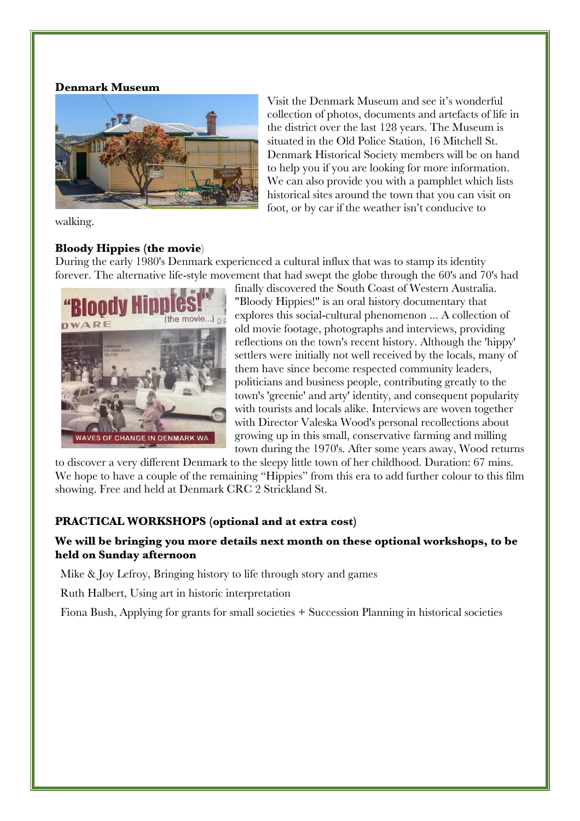#### **Denmark Museum**



walking.

#### **Bloody Hippies (the movie**)

Visit the Denmark Museum and see it's wonderful collection of photos, documents and artefacts of life in the district over the last 128 years. The Museum is situated in the Old Police Station, 16 Mitchell St. Denmark Historical Society members will be on hand to help you if you are looking for more information. We can also provide you with a pamphlet which lists historical sites around the town that you can visit on foot, or by car if the weather isn't conducive to

During the early 1980's Denmark experienced a cultural influx that was to stamp its identity forever. The alternative life-style movement that had swept the globe through the 60's and 70's had



finally discovered the South Coast of Western Australia. "Bloody Hippies!" is an oral history documentary that explores this social-cultural phenomenon ... A collection of old movie footage, photographs and interviews, providing reflections on the town's recent history. Although the 'hippy' settlers were initially not well received by the locals, many of them have since become respected community leaders, politicians and business people, contributing greatly to the town's 'greenie' and arty' identity, and consequent popularity with tourists and locals alike. Interviews are woven together with Director Valeska Wood's personal recollections about growing up in this small, conservative farming and milling town during the 1970's. After some years away, Wood returns

to discover a very different Denmark to the sleepy little town of her childhood. Duration: 67 mins. We hope to have a couple of the remaining "Hippies" from this era to add further colour to this film showing. Free and held at Denmark CRC 2 Strickland St.

## **PRACTICAL WORKSHOPS (optional and at extra cost)**

## **We will be bringing you more details next month on these optional workshops, to be held on Sunday afternoon**

Mike & Joy Lefroy, Bringing history to life through story and games

Ruth Halbert, Using art in historic interpretation

Fiona Bush, Applying for grants for small societies + Succession Planning in historical societies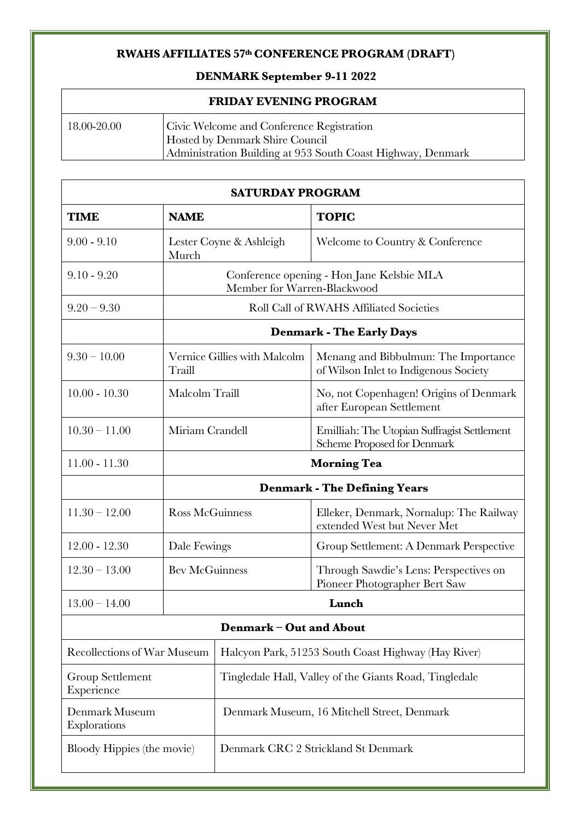# **RWAHS AFFILIATES 57th CONFERENCE PROGRAM (DRAFT)**

# **DENMARK September 9-11 2022**

| <b>FRIDAY EVENING PROGRAM</b> |                                                                                                                                             |  |  |
|-------------------------------|---------------------------------------------------------------------------------------------------------------------------------------------|--|--|
| 18.00-20.00                   | Civic Welcome and Conference Registration<br>Hosted by Denmark Shire Council<br>Administration Building at 953 South Coast Highway, Denmark |  |  |

| <b>SATURDAY PROGRAM</b>            |                                                                          |                                                        |                                                                               |  |
|------------------------------------|--------------------------------------------------------------------------|--------------------------------------------------------|-------------------------------------------------------------------------------|--|
| <b>TIME</b>                        | <b>NAME</b>                                                              |                                                        | <b>TOPIC</b>                                                                  |  |
| $9.00 - 9.10$                      | Lester Coyne & Ashleigh<br>Murch                                         |                                                        | Welcome to Country & Conference                                               |  |
| $9.10 - 9.20$                      | Conference opening - Hon Jane Kelsbie MLA<br>Member for Warren-Blackwood |                                                        |                                                                               |  |
| $9.20 - 9.30$                      | <b>Roll Call of RWAHS Affiliated Societies</b>                           |                                                        |                                                                               |  |
|                                    | <b>Denmark - The Early Days</b>                                          |                                                        |                                                                               |  |
| $9.30 - 10.00$                     | Traill                                                                   | Vernice Gillies with Malcolm                           | Menang and Bibbulmun: The Importance<br>of Wilson Inlet to Indigenous Society |  |
| $10.00 - 10.30$                    | Malcolm Traill                                                           |                                                        | No, not Copenhagen! Origins of Denmark<br>after European Settlement           |  |
| $10.30 - 11.00$                    | Miriam Crandell                                                          |                                                        | Emilliah: The Utopian Suffragist Settlement<br>Scheme Proposed for Denmark    |  |
| $11.00 - 11.30$                    | <b>Morning Tea</b>                                                       |                                                        |                                                                               |  |
|                                    | <b>Denmark - The Defining Years</b>                                      |                                                        |                                                                               |  |
| $11.30 - 12.00$                    | <b>Ross McGuinness</b>                                                   |                                                        | Elleker, Denmark, Nornalup: The Railway<br>extended West but Never Met        |  |
| $12.00 - 12.30$                    | Dale Fewings                                                             |                                                        | Group Settlement: A Denmark Perspective                                       |  |
| $12.30 - 13.00$                    | <b>Bev McGuinness</b>                                                    |                                                        | Through Sawdie's Lens: Perspectives on<br>Pioneer Photographer Bert Saw       |  |
| $13.00 - 14.00$                    | Lunch                                                                    |                                                        |                                                                               |  |
|                                    |                                                                          | Denmark - Out and About                                |                                                                               |  |
| <b>Recollections of War Museum</b> |                                                                          | Halcyon Park, 51253 South Coast Highway (Hay River)    |                                                                               |  |
| Group Settlement<br>Experience     |                                                                          | Tingledale Hall, Valley of the Giants Road, Tingledale |                                                                               |  |
| Denmark Museum<br>Explorations     |                                                                          | Denmark Museum, 16 Mitchell Street, Denmark            |                                                                               |  |
| Bloody Hippies (the movie)         |                                                                          | Denmark CRC 2 Strickland St Denmark                    |                                                                               |  |